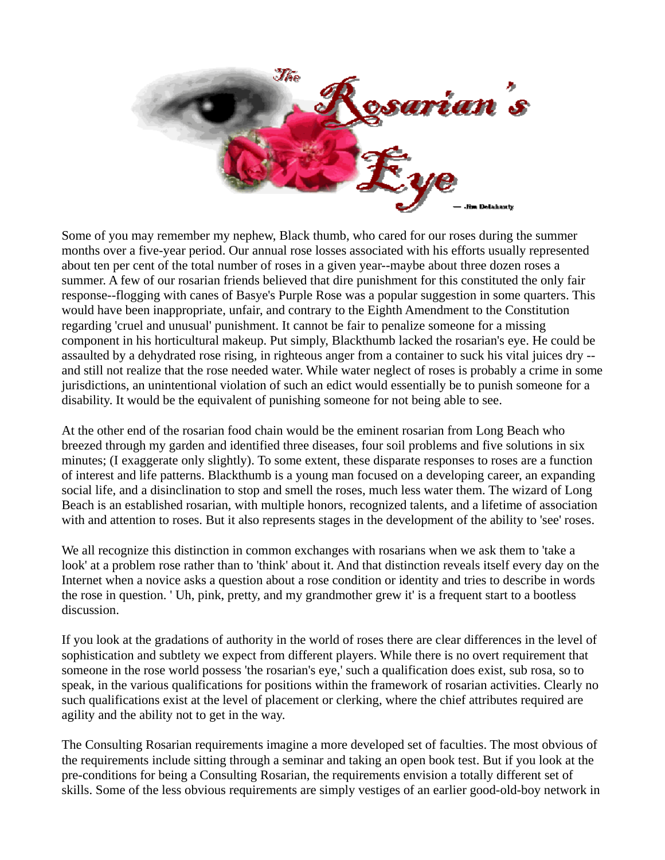

Some of you may remember my nephew, Black thumb, who cared for our roses during the summer months over a five-year period. Our annual rose losses associated with his efforts usually represented about ten per cent of the total number of roses in a given year--maybe about three dozen roses a summer. A few of our rosarian friends believed that dire punishment for this constituted the only fair response--flogging with canes of Basye's Purple Rose was a popular suggestion in some quarters. This would have been inappropriate, unfair, and contrary to the Eighth Amendment to the Constitution regarding 'cruel and unusual' punishment. It cannot be fair to penalize someone for a missing component in his horticultural makeup. Put simply, Blackthumb lacked the rosarian's eye. He could be assaulted by a dehydrated rose rising, in righteous anger from a container to suck his vital juices dry - and still not realize that the rose needed water. While water neglect of roses is probably a crime in some jurisdictions, an unintentional violation of such an edict would essentially be to punish someone for a disability. It would be the equivalent of punishing someone for not being able to see.

At the other end of the rosarian food chain would be the eminent rosarian from Long Beach who breezed through my garden and identified three diseases, four soil problems and five solutions in six minutes; (I exaggerate only slightly). To some extent, these disparate responses to roses are a function of interest and life patterns. Blackthumb is a young man focused on a developing career, an expanding social life, and a disinclination to stop and smell the roses, much less water them. The wizard of Long Beach is an established rosarian, with multiple honors, recognized talents, and a lifetime of association with and attention to roses. But it also represents stages in the development of the ability to 'see' roses.

We all recognize this distinction in common exchanges with rosarians when we ask them to 'take a look' at a problem rose rather than to 'think' about it. And that distinction reveals itself every day on the Internet when a novice asks a question about a rose condition or identity and tries to describe in words the rose in question. ' Uh, pink, pretty, and my grandmother grew it' is a frequent start to a bootless discussion.

If you look at the gradations of authority in the world of roses there are clear differences in the level of sophistication and subtlety we expect from different players. While there is no overt requirement that someone in the rose world possess 'the rosarian's eye,' such a qualification does exist, sub rosa, so to speak, in the various qualifications for positions within the framework of rosarian activities. Clearly no such qualifications exist at the level of placement or clerking, where the chief attributes required are agility and the ability not to get in the way.

The Consulting Rosarian requirements imagine a more developed set of faculties. The most obvious of the requirements include sitting through a seminar and taking an open book test. But if you look at the pre-conditions for being a Consulting Rosarian, the requirements envision a totally different set of skills. Some of the less obvious requirements are simply vestiges of an earlier good-old-boy network in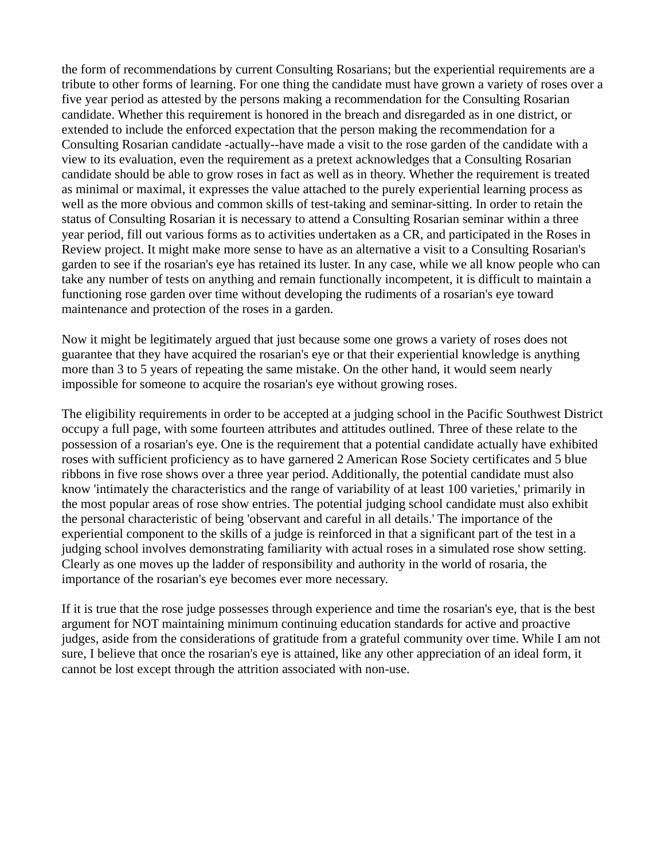the form of recommendations by current Consulting Rosarians; but the experiential requirements are a tribute to other forms of learning. For one thing the candidate must have grown a variety of roses over a five year period as attested by the persons making a recommendation for the Consulting Rosarian candidate. Whether this requirement is honored in the breach and disregarded as in one district, or extended to include the enforced expectation that the person making the recommendation for a Consulting Rosarian candidate -actually--have made a visit to the rose garden of the candidate with a view to its evaluation, even the requirement as a pretext acknowledges that a Consulting Rosarian candidate should be able to grow roses in fact as well as in theory. Whether the requirement is treated as minimal or maximal, it expresses the value attached to the purely experiential learning process as well as the more obvious and common skills of test-taking and seminar-sitting. In order to retain the status of Consulting Rosarian it is necessary to attend a Consulting Rosarian seminar within a three year period, fill out various forms as to activities undertaken as a CR, and participated in the Roses in Review project. It might make more sense to have as an alternative a visit to a Consulting Rosarian's garden to see if the rosarian's eye has retained its luster. In any case, while we all know people who can take any number of tests on anything and remain functionally incompetent, it is difficult to maintain a functioning rose garden over time without developing the rudiments of a rosarian's eye toward maintenance and protection of the roses in a garden.

Now it might be legitimately argued that just because some one grows a variety of roses does not guarantee that they have acquired the rosarian's eye or that their experiential knowledge is anything more than 3 to 5 years of repeating the same mistake. On the other hand, it would seem nearly impossible for someone to acquire the rosarian's eye without growing roses.

The eligibility requirements in order to be accepted at a judging school in the Pacific Southwest District occupy a full page, with some fourteen attributes and attitudes outlined. Three of these relate to the possession of a rosarian's eye. One is the requirement that a potential candidate actually have exhibited roses with sufficient proficiency as to have garnered 2 American Rose Society certificates and 5 blue ribbons in five rose shows over a three year period. Additionally, the potential candidate must also know 'intimately the characteristics and the range of variability of at least 100 varieties,' primarily in the most popular areas of rose show entries. The potential judging school candidate must also exhibit the personal characteristic of being 'observant and careful in all details.' The importance of the experiential component to the skills of a judge is reinforced in that a significant part of the test in a judging school involves demonstrating familiarity with actual roses in a simulated rose show setting. Clearly as one moves up the ladder of responsibility and authority in the world of rosaria, the importance of the rosarian's eye becomes ever more necessary.

If it is true that the rose judge possesses through experience and time the rosarian's eye, that is the best argument for NOT maintaining minimum continuing education standards for active and proactive judges, aside from the considerations of gratitude from a grateful community over time. While I am not sure, I believe that once the rosarian's eye is attained, like any other appreciation of an ideal form, it cannot be lost except through the attrition associated with non-use.